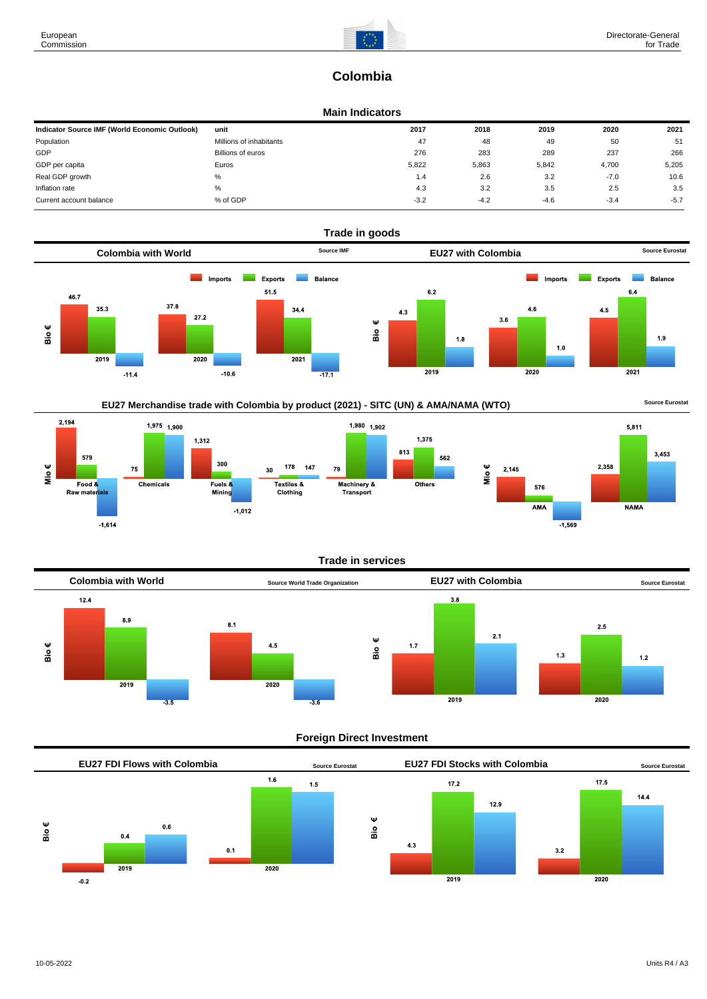$5,811$ 

**NAMA** 

3.453

# **Colombia**

## **Main Indicators**

| Indicator Source IMF (World Economic Outlook) | unit                    | 2017   | 2018   | 2019   | 2020   | 2021   |
|-----------------------------------------------|-------------------------|--------|--------|--------|--------|--------|
| Population                                    | Millions of inhabitants | 47     | 48     | 49     | 50     | 51     |
| GDP                                           | Billions of euros       | 276    | 283    | 289    | 237    | 266    |
| GDP per capita                                | Euros                   | 5,822  | 5,863  | 5,842  | 4,700  | 5,205  |
| Real GDP growth                               | %                       | 1.4    | 2.6    | 3.2    | $-7.0$ | 10.6   |
| Inflation rate                                | %                       | 4.3    | 3.2    | 3.5    | 2.5    | 3.5    |
| Current account balance                       | % of GDP                | $-3.2$ | $-4.2$ | $-4.6$ | $-3.4$ | $-5.7$ |











## **Foreign Direct Investment**